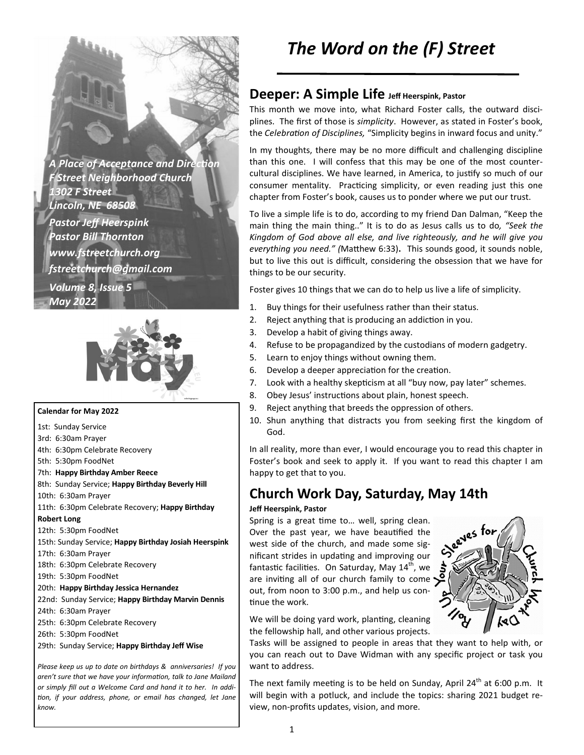**A Place of Acceptance and Direction** *F Street Neighborhood Church 1302 F Street Lincoln, NE 68508 Pastor Jeff Heerspink Pastor Bill Thornton www.fstreetchurch.org fstreetchurch@gmail.com Volume 8, Issue 5 May 2022* 



#### **Calendar for May 2022**

- 1st: Sunday Service 3rd: 6:30am Prayer
- 4th: 6:30pm Celebrate Recovery
- 5th: 5:30pm FoodNet
- 7th: **Happy Birthday Amber Reece**
- 8th: Sunday Service; **Happy Birthday Beverly Hill**
- 10th: 6:30am Prayer
- 11th: 6:30pm Celebrate Recovery; **Happy Birthday**

#### **Robert Long**

- 12th: 5:30pm FoodNet
- 15th: Sunday Service; **Happy Birthday Josiah Heerspink**
- 17th: 6:30am Prayer
- 18th: 6:30pm Celebrate Recovery
- 19th: 5:30pm FoodNet
- 20th: **Happy Birthday Jessica Hernandez**
- 22nd: Sunday Service; **Happy Birthday Marvin Dennis**
- 24th: 6:30am Prayer
- 25th: 6:30pm Celebrate Recovery
- 26th: 5:30pm FoodNet
- 29th: Sunday Service; **Happy Birthday Jeff Wise**

*Please keep us up to date on birthdays & anniversaries! If you*  aren't sure that we have your information, talk to Jane Mailand *or simply fill out a Welcome Card and hand it to her. In addi on, if your address, phone, or email has changed, let Jane know.* 

# *The Word on the (F) Street*

## **Deeper: A Simple Life Jeff Heerspink, Pastor**

This month we move into, what Richard Foster calls, the outward disciplines. The first of those is *simplicity*. However, as stated in Foster's book, the *Celebration of Disciplines*, "Simplicity begins in inward focus and unity."

In my thoughts, there may be no more difficult and challenging discipline than this one. I will confess that this may be one of the most countercultural disciplines. We have learned, in America, to justify so much of our consumer mentality. Practicing simplicity, or even reading just this one chapter from Foster's book, causes us to ponder where we put our trust.

To live a simple life is to do, according to my friend Dan Dalman, "Keep the main thing the main thing.." It is to do as Jesus calls us to do*, "Seek the Kingdom of God above all else, and live righteously, and he will give you everything you need."* (Matthew 6:33). This sounds good, it sounds noble, but to live this out is difficult, considering the obsession that we have for things to be our security.

Foster gives 10 things that we can do to help us live a life of simplicity.

- 1. Buy things for their usefulness rather than their status.
- 2. Reject anything that is producing an addiction in you.
- 3. Develop a habit of giving things away.
- 4. Refuse to be propagandized by the custodians of modern gadgetry.
- 5. Learn to enjoy things without owning them.
- 6. Develop a deeper appreciation for the creation.
- 7. Look with a healthy skepticism at all "buy now, pay later" schemes.
- 8. Obey Jesus' instructions about plain, honest speech.
- 9. Reject anything that breeds the oppression of others.
- 10. Shun anything that distracts you from seeking first the kingdom of God.

In all reality, more than ever, I would encourage you to read this chapter in Foster's book and seek to apply it. If you want to read this chapter I am happy to get that to you.

# **Church Work Day, Saturday, May 14th**

#### **Jeff Heerspink, Pastor**

Spring is a great time to... well, spring clean. Over the past year, we have beautified the west side of the church, and made some significant strides in updating and improving our fantastic facilities. On Saturday, May  $14<sup>th</sup>$ , we are inviting all of our church family to come  $\sum_{n=1}^{\infty}$ out, from noon to 3:00 p.m., and help us continue the work.

We will be doing yard work, planting, cleaning the fellowship hall, and other various projects.

Tasks will be assigned to people in areas that they want to help with, or you can reach out to Dave Widman with any specific project or task you want to address.

The next family meeting is to be held on Sunday, April 24<sup>th</sup> at 6:00 p.m. It will begin with a potluck, and include the topics: sharing 2021 budget review, non-profits updates, vision, and more.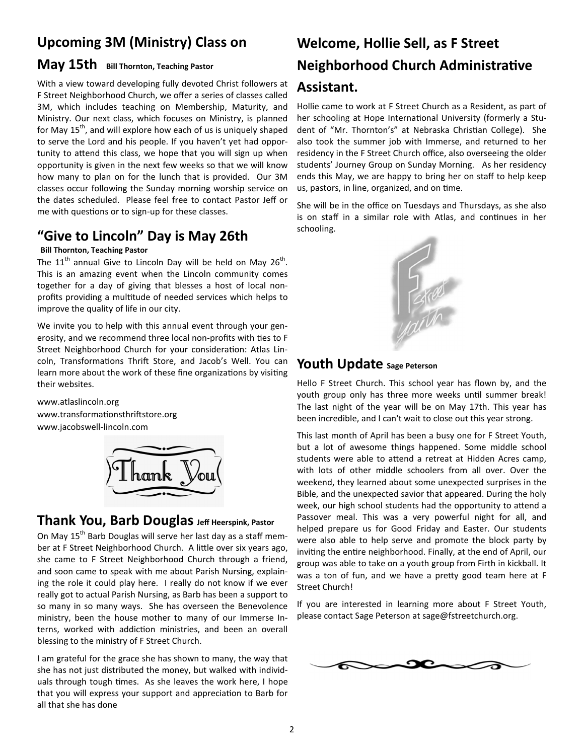# **Upcoming 3M (Ministry) Class on**

### **May 15th Bill Thornton, Teaching Pastor**

With a view toward developing fully devoted Christ followers at F Street Neighborhood Church, we offer a series of classes called 3M, which includes teaching on Membership, Maturity, and Ministry. Our next class, which focuses on Ministry, is planned for May  $15<sup>th</sup>$ , and will explore how each of us is uniquely shaped to serve the Lord and his people. If you haven't yet had opportunity to attend this class, we hope that you will sign up when opportunity is given in the next few weeks so that we will know how many to plan on for the lunch that is provided. Our 3M classes occur following the Sunday morning worship service on the dates scheduled. Please feel free to contact Pastor Jeff or me with questions or to sign-up for these classes.

## **"Give to Lincoln" Day is May 26th**

#### **Bill Thornton, Teaching Pastor**

The  $11<sup>th</sup>$  annual Give to Lincoln Day will be held on May 26<sup>th</sup>. This is an amazing event when the Lincoln community comes together for a day of giving that blesses a host of local nonprofits providing a multitude of needed services which helps to improve the quality of life in our city.

We invite you to help with this annual event through your generosity, and we recommend three local non-profits with ties to F Street Neighborhood Church for your consideration: Atlas Lincoln, Transformations Thrift Store, and Jacob's Well. You can learn more about the work of these fine organizations by visiting their websites.

www.atlaslincoln.org www.transformationsthriftstore.org www.jacobswell-lincoln.com



## **Thank You, Barb Douglas Jeff Heerspink, Pastor**

On May 15<sup>th</sup> Barb Douglas will serve her last day as a staff member at F Street Neighborhood Church. A little over six years ago, she came to F Street Neighborhood Church through a friend, and soon came to speak with me about Parish Nursing, explaining the role it could play here. I really do not know if we ever really got to actual Parish Nursing, as Barb has been a support to so many in so many ways. She has overseen the Benevolence ministry, been the house mother to many of our Immerse Interns, worked with addiction ministries, and been an overall blessing to the ministry of F Street Church.

I am grateful for the grace she has shown to many, the way that she has not just distributed the money, but walked with individuals through tough times. As she leaves the work here, I hope that you will express your support and appreciation to Barb for all that she has done

# **Welcome, Hollie Sell, as F Street Neighborhood Church Administrative Assistant.**

Hollie came to work at F Street Church as a Resident, as part of her schooling at Hope International University (formerly a Student of "Mr. Thornton's" at Nebraska Christian College). She also took the summer job with Immerse, and returned to her residency in the F Street Church office, also overseeing the older students' Journey Group on Sunday Morning. As her residency ends this May, we are happy to bring her on staff to help keep us, pastors, in line, organized, and on time.

She will be in the office on Tuesdays and Thursdays, as she also is on staff in a similar role with Atlas, and continues in her schooling.



## **Youth Update Sage Peterson**

Hello F Street Church. This school year has flown by, and the youth group only has three more weeks until summer break! The last night of the year will be on May 17th. This year has been incredible, and I can't wait to close out this year strong.

This last month of April has been a busy one for F Street Youth, but a lot of awesome things happened. Some middle school students were able to attend a retreat at Hidden Acres camp, with lots of other middle schoolers from all over. Over the weekend, they learned about some unexpected surprises in the Bible, and the unexpected savior that appeared. During the holy week, our high school students had the opportunity to attend a Passover meal. This was a very powerful night for all, and helped prepare us for Good Friday and Easter. Our students were also able to help serve and promote the block party by inviting the entire neighborhood. Finally, at the end of April, our group was able to take on a youth group from Firth in kickball. It was a ton of fun, and we have a pretty good team here at F Street Church!

If you are interested in learning more about F Street Youth, please contact Sage Peterson at sage@fstreetchurch.org.

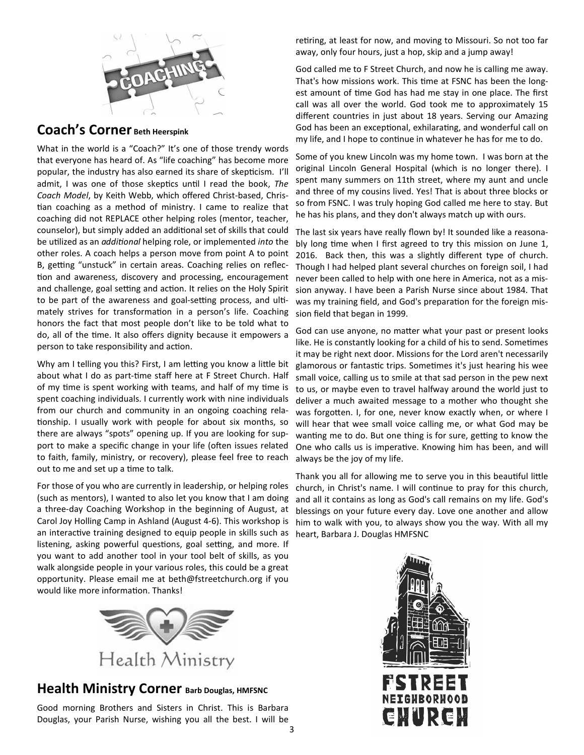

# **Coach's Corner Beth Heerspink**

What in the world is a "Coach?" It's one of those trendy words that everyone has heard of. As "life coaching" has become more popular, the industry has also earned its share of skepticism. I'll admit, I was one of those skeptics until I read the book, The *Coach Model*, by Keith Webb, which offered Christ-based, Christian coaching as a method of ministry. I came to realize that coaching did not REPLACE other helping roles (mentor, teacher, counselor), but simply added an additional set of skills that could be utilized as an *additional* helping role, or implemented *into* the other roles. A coach helps a person move from point A to point B, getting "unstuck" in certain areas. Coaching relies on reflection and awareness, discovery and processing, encouragement and challenge, goal setting and action. It relies on the Holy Spirit to be part of the awareness and goal-setting process, and ultimately strives for transformation in a person's life. Coaching honors the fact that most people don't like to be told what to do, all of the time. It also offers dignity because it empowers a person to take responsibility and action.

Why am I telling you this? First, I am letting you know a little bit about what I do as part-time staff here at F Street Church. Half of my time is spent working with teams, and half of my time is spent coaching individuals. I currently work with nine individuals from our church and community in an ongoing coaching relationship. I usually work with people for about six months, so there are always "spots" opening up. If you are looking for support to make a specific change in your life (often issues related to faith, family, ministry, or recovery), please feel free to reach out to me and set up a time to talk.

For those of you who are currently in leadership, or helping roles (such as mentors), I wanted to also let you know that I am doing a three-day Coaching Workshop in the beginning of August, at Carol Joy Holling Camp in Ashland (August 4-6). This workshop is an interactive training designed to equip people in skills such as listening, asking powerful questions, goal setting, and more. If you want to add another tool in your tool belt of skills, as you walk alongside people in your various roles, this could be a great opportunity. Please email me at beth@fstreetchurch.org if you would like more information. Thanks!



## **Health Ministry Corner Barb Douglas, HMFSNC**

Good morning Brothers and Sisters in Christ. This is Barbara Douglas, your Parish Nurse, wishing you all the best. I will be

retiring, at least for now, and moving to Missouri. So not too far away, only four hours, just a hop, skip and a jump away!

God called me to F Street Church, and now he is calling me away. That's how missions work. This time at FSNC has been the longest amount of time God has had me stay in one place. The first call was all over the world. God took me to approximately 15 different countries in just about 18 years. Serving our Amazing God has been an exceptional, exhilarating, and wonderful call on my life, and I hope to continue in whatever he has for me to do.

Some of you knew Lincoln was my home town. I was born at the original Lincoln General Hospital (which is no longer there). I spent many summers on 11th street, where my aunt and uncle and three of my cousins lived. Yes! That is about three blocks or so from FSNC. I was truly hoping God called me here to stay. But he has his plans, and they don't always match up with ours.

The last six years have really flown by! It sounded like a reasonably long time when I first agreed to try this mission on June 1, 2016. Back then, this was a slightly different type of church. Though I had helped plant several churches on foreign soil, I had never been called to help with one here in America, not as a mission anyway. I have been a Parish Nurse since about 1984. That was my training field, and God's preparation for the foreign mission field that began in 1999.

God can use anyone, no matter what your past or present looks like. He is constantly looking for a child of his to send. Sometimes it may be right next door. Missions for the Lord aren't necessarily glamorous or fantastic trips. Sometimes it's just hearing his wee small voice, calling us to smile at that sad person in the pew next to us, or maybe even to travel halfway around the world just to deliver a much awaited message to a mother who thought she was forgotten. I, for one, never know exactly when, or where I will hear that wee small voice calling me, or what God may be wanting me to do. But one thing is for sure, getting to know the One who calls us is imperative. Knowing him has been, and will always be the joy of my life.

Thank you all for allowing me to serve you in this beautiful little church, in Christ's name. I will continue to pray for this church, and all it contains as long as God's call remains on my life. God's blessings on your future every day. Love one another and allow him to walk with you, to always show you the way. With all my heart, Barbara J. Douglas HMFSNC